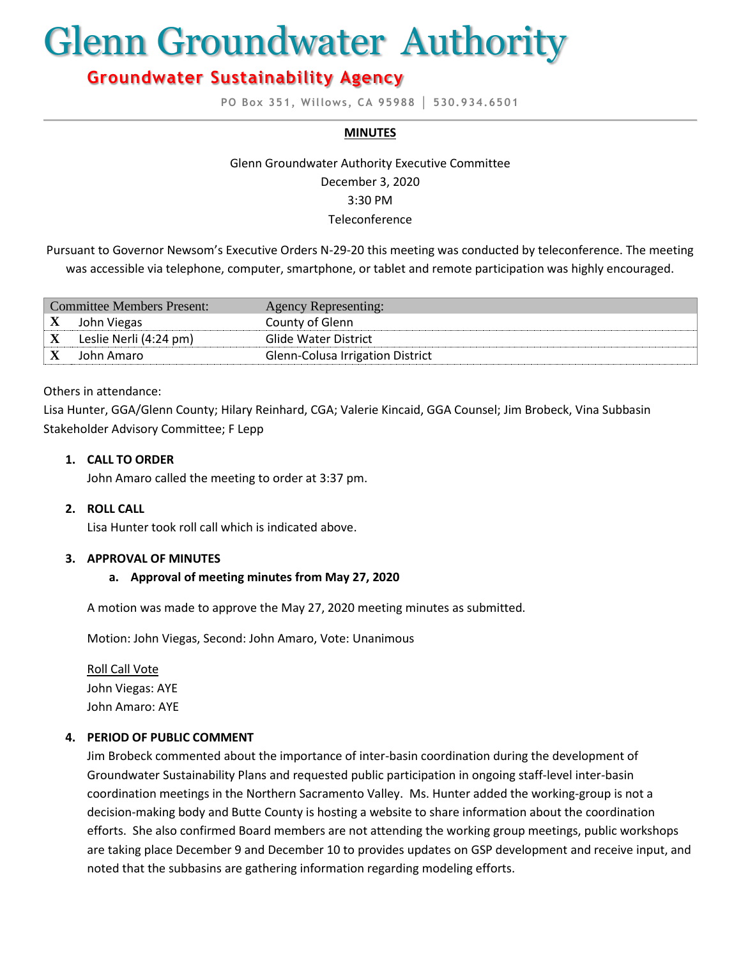# Glenn Groundwater Authority

# **Groundwater Sustainability Agency**

**PO Box 351, Willows, CA 95988 │ 530.934.6501**

#### **MINUTES**

# Glenn Groundwater Authority Executive Committee December 3, 2020 3:30 PM Teleconference

Pursuant to Governor Newsom's Executive Orders N-29-20 this meeting was conducted by teleconference. The meeting was accessible via telephone, computer, smartphone, or tablet and remote participation was highly encouraged.

| Committee Members Present: |                        | <b>Agency Representing:</b>             |
|----------------------------|------------------------|-----------------------------------------|
| X                          | John Viegas            | County of Glenn                         |
|                            | Leslie Nerli (4:24 pm) | Glide Water District                    |
|                            | John Amaro             | <b>Glenn-Colusa Irrigation District</b> |

#### Others in attendance:

Lisa Hunter, GGA/Glenn County; Hilary Reinhard, CGA; Valerie Kincaid, GGA Counsel; Jim Brobeck, Vina Subbasin Stakeholder Advisory Committee; F Lepp

#### **1. CALL TO ORDER**

John Amaro called the meeting to order at 3:37 pm.

#### **2. ROLL CALL**

Lisa Hunter took roll call which is indicated above.

#### **3. APPROVAL OF MINUTES**

#### **a. Approval of meeting minutes from May 27, 2020**

A motion was made to approve the May 27, 2020 meeting minutes as submitted.

Motion: John Viegas, Second: John Amaro, Vote: Unanimous

Roll Call Vote John Viegas: AYE John Amaro: AYE

#### **4. PERIOD OF PUBLIC COMMENT**

Jim Brobeck commented about the importance of inter-basin coordination during the development of Groundwater Sustainability Plans and requested public participation in ongoing staff-level inter-basin coordination meetings in the Northern Sacramento Valley. Ms. Hunter added the working-group is not a decision-making body and Butte County is hosting a website to share information about the coordination efforts. She also confirmed Board members are not attending the working group meetings, public workshops are taking place December 9 and December 10 to provides updates on GSP development and receive input, and noted that the subbasins are gathering information regarding modeling efforts.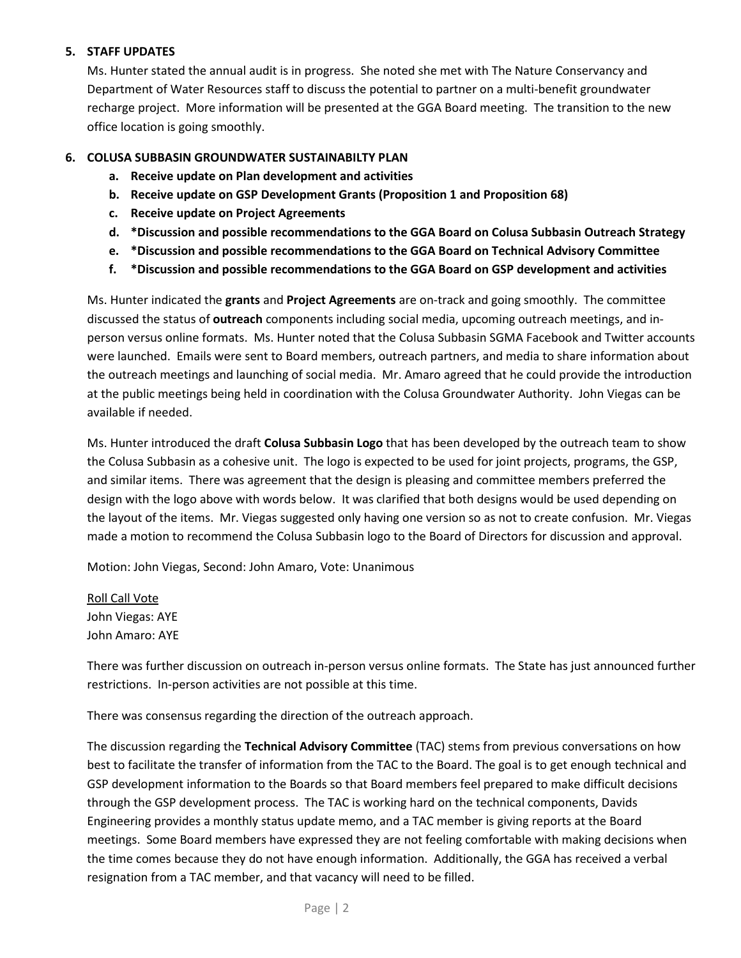#### **5. STAFF UPDATES**

Ms. Hunter stated the annual audit is in progress. She noted she met with The Nature Conservancy and Department of Water Resources staff to discuss the potential to partner on a multi-benefit groundwater recharge project. More information will be presented at the GGA Board meeting. The transition to the new office location is going smoothly.

#### **6. COLUSA SUBBASIN GROUNDWATER SUSTAINABILTY PLAN**

- **a. Receive update on Plan development and activities**
- **b. Receive update on GSP Development Grants (Proposition 1 and Proposition 68)**
- **c. Receive update on Project Agreements**
- **d. \*Discussion and possible recommendations to the GGA Board on Colusa Subbasin Outreach Strategy**
- **e. \*Discussion and possible recommendations to the GGA Board on Technical Advisory Committee**
- **f. \*Discussion and possible recommendations to the GGA Board on GSP development and activities**

Ms. Hunter indicated the **grants** and **Project Agreements** are on-track and going smoothly. The committee discussed the status of **outreach** components including social media, upcoming outreach meetings, and inperson versus online formats. Ms. Hunter noted that the Colusa Subbasin SGMA Facebook and Twitter accounts were launched. Emails were sent to Board members, outreach partners, and media to share information about the outreach meetings and launching of social media. Mr. Amaro agreed that he could provide the introduction at the public meetings being held in coordination with the Colusa Groundwater Authority. John Viegas can be available if needed.

Ms. Hunter introduced the draft **Colusa Subbasin Logo** that has been developed by the outreach team to show the Colusa Subbasin as a cohesive unit. The logo is expected to be used for joint projects, programs, the GSP, and similar items. There was agreement that the design is pleasing and committee members preferred the design with the logo above with words below. It was clarified that both designs would be used depending on the layout of the items. Mr. Viegas suggested only having one version so as not to create confusion. Mr. Viegas made a motion to recommend the Colusa Subbasin logo to the Board of Directors for discussion and approval.

Motion: John Viegas, Second: John Amaro, Vote: Unanimous

Roll Call Vote John Viegas: AYE John Amaro: AYE

There was further discussion on outreach in-person versus online formats. The State has just announced further restrictions. In-person activities are not possible at this time.

There was consensus regarding the direction of the outreach approach.

The discussion regarding the **Technical Advisory Committee** (TAC) stems from previous conversations on how best to facilitate the transfer of information from the TAC to the Board. The goal is to get enough technical and GSP development information to the Boards so that Board members feel prepared to make difficult decisions through the GSP development process. The TAC is working hard on the technical components, Davids Engineering provides a monthly status update memo, and a TAC member is giving reports at the Board meetings. Some Board members have expressed they are not feeling comfortable with making decisions when the time comes because they do not have enough information. Additionally, the GGA has received a verbal resignation from a TAC member, and that vacancy will need to be filled.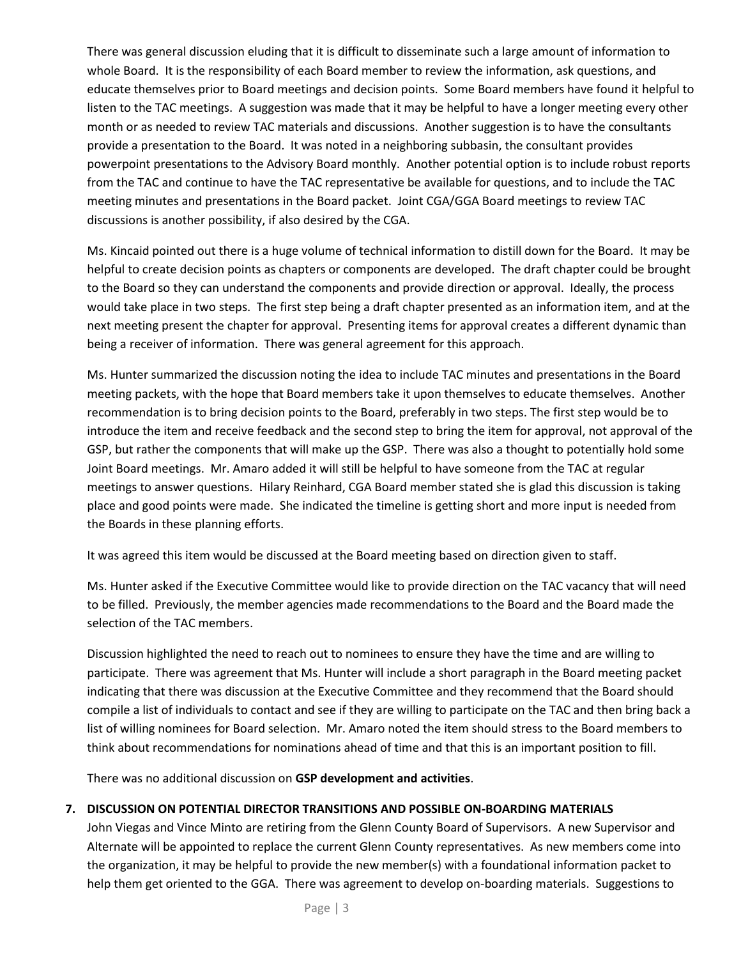There was general discussion eluding that it is difficult to disseminate such a large amount of information to whole Board. It is the responsibility of each Board member to review the information, ask questions, and educate themselves prior to Board meetings and decision points. Some Board members have found it helpful to listen to the TAC meetings. A suggestion was made that it may be helpful to have a longer meeting every other month or as needed to review TAC materials and discussions. Another suggestion is to have the consultants provide a presentation to the Board. It was noted in a neighboring subbasin, the consultant provides powerpoint presentations to the Advisory Board monthly. Another potential option is to include robust reports from the TAC and continue to have the TAC representative be available for questions, and to include the TAC meeting minutes and presentations in the Board packet. Joint CGA/GGA Board meetings to review TAC discussions is another possibility, if also desired by the CGA.

Ms. Kincaid pointed out there is a huge volume of technical information to distill down for the Board. It may be helpful to create decision points as chapters or components are developed. The draft chapter could be brought to the Board so they can understand the components and provide direction or approval. Ideally, the process would take place in two steps. The first step being a draft chapter presented as an information item, and at the next meeting present the chapter for approval. Presenting items for approval creates a different dynamic than being a receiver of information. There was general agreement for this approach.

Ms. Hunter summarized the discussion noting the idea to include TAC minutes and presentations in the Board meeting packets, with the hope that Board members take it upon themselves to educate themselves. Another recommendation is to bring decision points to the Board, preferably in two steps. The first step would be to introduce the item and receive feedback and the second step to bring the item for approval, not approval of the GSP, but rather the components that will make up the GSP. There was also a thought to potentially hold some Joint Board meetings. Mr. Amaro added it will still be helpful to have someone from the TAC at regular meetings to answer questions. Hilary Reinhard, CGA Board member stated she is glad this discussion is taking place and good points were made. She indicated the timeline is getting short and more input is needed from the Boards in these planning efforts.

It was agreed this item would be discussed at the Board meeting based on direction given to staff.

Ms. Hunter asked if the Executive Committee would like to provide direction on the TAC vacancy that will need to be filled. Previously, the member agencies made recommendations to the Board and the Board made the selection of the TAC members.

Discussion highlighted the need to reach out to nominees to ensure they have the time and are willing to participate. There was agreement that Ms. Hunter will include a short paragraph in the Board meeting packet indicating that there was discussion at the Executive Committee and they recommend that the Board should compile a list of individuals to contact and see if they are willing to participate on the TAC and then bring back a list of willing nominees for Board selection. Mr. Amaro noted the item should stress to the Board members to think about recommendations for nominations ahead of time and that this is an important position to fill.

There was no additional discussion on **GSP development and activities**.

# **7. DISCUSSION ON POTENTIAL DIRECTOR TRANSITIONS AND POSSIBLE ON-BOARDING MATERIALS**

John Viegas and Vince Minto are retiring from the Glenn County Board of Supervisors. A new Supervisor and Alternate will be appointed to replace the current Glenn County representatives. As new members come into the organization, it may be helpful to provide the new member(s) with a foundational information packet to help them get oriented to the GGA. There was agreement to develop on-boarding materials. Suggestions to